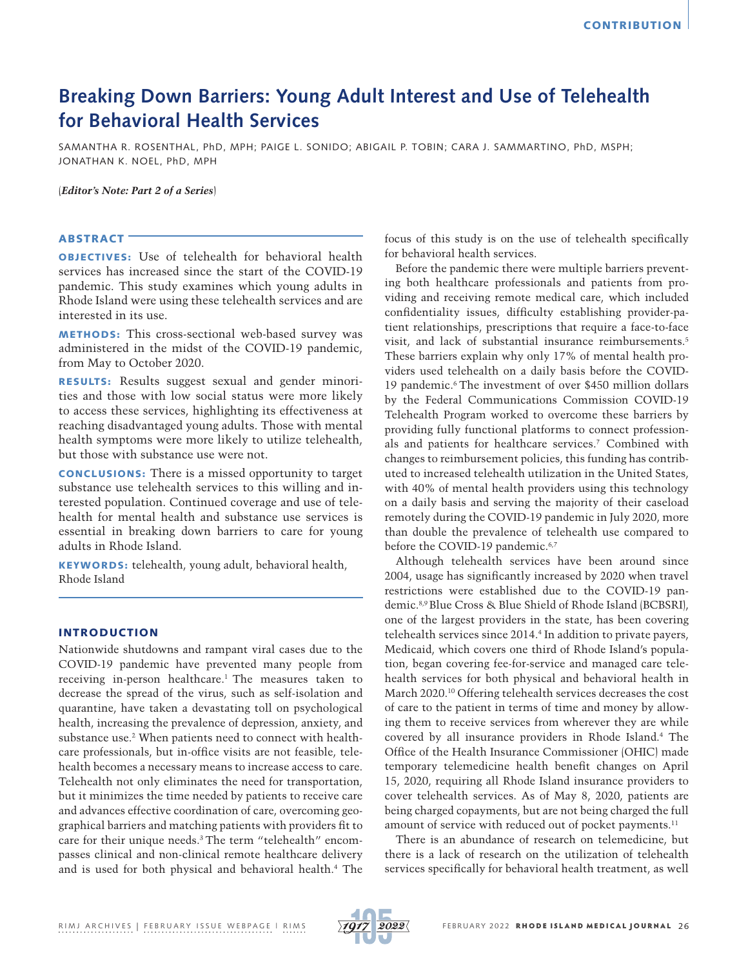# **Breaking Down Barriers: Young Adult Interest and Use of Telehealth for Behavioral Health Services**

SAMANTHA R. ROSENTHAL, PhD, MPH; PAIGE L. SONIDO; ABIGAIL P. TOBIN; CARA J. SAMMARTINO, PhD, MSPH; JONATHAN K. NOEL, PhD, MPH

(*Editor's Note: Part 2 of a Series*)

## **ABSTRACT<sup>-</sup>**

OBJECTIVES: Use of telehealth for behavioral health services has increased since the start of the COVID-19 pandemic. This study examines which young adults in Rhode Island were using these telehealth services and are interested in its use.

METHODS: This cross-sectional web-based survey was administered in the midst of the COVID-19 pandemic, from May to October 2020.

RESULTS: Results suggest sexual and gender minorities and those with low social status were more likely to access these services, highlighting its effectiveness at reaching disadvantaged young adults. Those with mental health symptoms were more likely to utilize telehealth, but those with substance use were not.

CONCLUSIONS: There is a missed opportunity to target substance use telehealth services to this willing and interested population. Continued coverage and use of telehealth for mental health and substance use services is essential in breaking down barriers to care for young adults in Rhode Island.

KEYWORDS: telehealth, young adult, behavioral health, Rhode Island

## INTRODUCTION

Nationwide shutdowns and rampant viral cases due to the COVID-19 pandemic have prevented many people from receiving in-person healthcare.<sup>1</sup> The measures taken to decrease the spread of the virus, such as self-isolation and quarantine, have taken a devastating toll on psychological health, increasing the prevalence of depression, anxiety, and substance use.2 When patients need to connect with healthcare professionals, but in-office visits are not feasible, telehealth becomes a necessary means to increase access to care. Telehealth not only eliminates the need for transportation, but it minimizes the time needed by patients to receive care and advances effective coordination of care, overcoming geographical barriers and matching patients with providers fit to care for their unique needs.3 The term "telehealth" encompasses clinical and non-clinical remote healthcare delivery and is used for both physical and behavioral health.4 The focus of this study is on the use of telehealth specifically for behavioral health services.

Before the pandemic there were multiple barriers preventing both healthcare professionals and patients from providing and receiving remote medical care, which included confidentiality issues, difficulty establishing provider-patient relationships, prescriptions that require a face-to-face visit, and lack of substantial insurance reimbursements.5 These barriers explain why only 17% of mental health providers used telehealth on a daily basis before the COVID-19 pandemic.6 The investment of over \$450 million dollars by the Federal Communications Commission COVID-19 Telehealth Program worked to overcome these barriers by providing fully functional platforms to connect professionals and patients for healthcare services.7 Combined with changes to reimbursement policies, this funding has contributed to increased telehealth utilization in the United States, with 40% of mental health providers using this technology on a daily basis and serving the majority of their caseload remotely during the COVID-19 pandemic in July 2020, more than double the prevalence of telehealth use compared to before the COVID-19 pandemic.<sup>6,7</sup>

Although telehealth services have been around since 2004, usage has significantly increased by 2020 when travel restrictions were established due to the COVID-19 pandemic.8,9 Blue Cross & Blue Shield of Rhode Island (BCBSRI), one of the largest providers in the state, has been covering telehealth services since 2014.4 In addition to private payers, Medicaid, which covers one third of Rhode Island's population, began covering fee-for-service and managed care telehealth services for both physical and behavioral health in March 2020.10 Offering telehealth services decreases the cost of care to the patient in terms of time and money by allowing them to receive services from wherever they are while covered by all insurance providers in Rhode Island.4 The Office of the Health Insurance Commissioner (OHIC) made temporary telemedicine health benefit changes on April 15, 2020, requiring all Rhode Island insurance providers to cover telehealth services. As of May 8, 2020, patients are being charged copayments, but are not being charged the full amount of service with reduced out of pocket payments.<sup>11</sup>

There is an abundance of research on telemedicine, but there is a lack of research on the utilization of telehealth services specifically for behavioral health treatment, as well

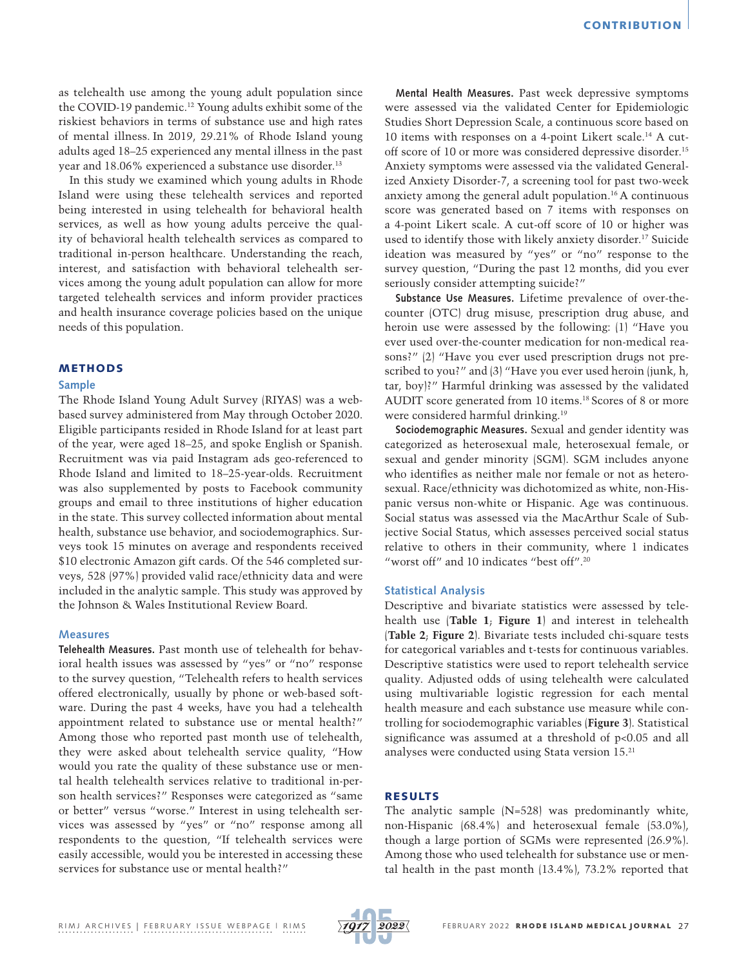as telehealth use among the young adult population since the COVID-19 pandemic.<sup>12</sup> Young adults exhibit some of the riskiest behaviors in terms of substance use and high rates of mental illness. In 2019, 29.21% of Rhode Island young adults aged 18–25 experienced any mental illness in the past year and 18.06% experienced a substance use disorder.<sup>13</sup>

In this study we examined which young adults in Rhode Island were using these telehealth services and reported being interested in using telehealth for behavioral health services, as well as how young adults perceive the quality of behavioral health telehealth services as compared to traditional in-person healthcare. Understanding the reach, interest, and satisfaction with behavioral telehealth services among the young adult population can allow for more targeted telehealth services and inform provider practices and health insurance coverage policies based on the unique needs of this population.

## **METHODS**

#### **Sample**

The Rhode Island Young Adult Survey (RIYAS) was a webbased survey administered from May through October 2020. Eligible participants resided in Rhode Island for at least part of the year, were aged 18–25, and spoke English or Spanish. Recruitment was via paid Instagram ads geo-referenced to Rhode Island and limited to 18–25-year-olds. Recruitment was also supplemented by posts to Facebook community groups and email to three institutions of higher education in the state. This survey collected information about mental health, substance use behavior, and sociodemographics. Surveys took 15 minutes on average and respondents received \$10 electronic Amazon gift cards. Of the 546 completed surveys, 528 (97%) provided valid race/ethnicity data and were included in the analytic sample. This study was approved by the Johnson & Wales Institutional Review Board.

#### **Measures**

**Telehealth Measures.** Past month use of telehealth for behavioral health issues was assessed by "yes" or "no" response to the survey question, "Telehealth refers to health services offered electronically, usually by phone or web-based software. During the past 4 weeks, have you had a telehealth appointment related to substance use or mental health?" Among those who reported past month use of telehealth, they were asked about telehealth service quality, "How would you rate the quality of these substance use or mental health telehealth services relative to traditional in-person health services?" Responses were categorized as "same or better" versus "worse." Interest in using telehealth services was assessed by "yes" or "no" response among all respondents to the question, "If telehealth services were easily accessible, would you be interested in accessing these services for substance use or mental health?"

**Mental Health Measures.** Past week depressive symptoms were assessed via the validated Center for Epidemiologic Studies Short Depression Scale, a continuous score based on 10 items with responses on a 4-point Likert scale.14 A cutoff score of 10 or more was considered depressive disorder.<sup>15</sup> Anxiety symptoms were assessed via the validated Generalized Anxiety Disorder-7, a screening tool for past two-week anxiety among the general adult population.16 A continuous score was generated based on 7 items with responses on a 4-point Likert scale. A cut-off score of 10 or higher was used to identify those with likely anxiety disorder.<sup>17</sup> Suicide ideation was measured by "yes" or "no" response to the survey question, "During the past 12 months, did you ever seriously consider attempting suicide?"

**Substance Use Measures.** Lifetime prevalence of over-thecounter (OTC) drug misuse, prescription drug abuse, and heroin use were assessed by the following: (1) "Have you ever used over-the-counter medication for non-medical reasons?" (2) "Have you ever used prescription drugs not prescribed to you?" and (3) "Have you ever used heroin (junk, h, tar, boy)?" Harmful drinking was assessed by the validated AUDIT score generated from 10 items.18 Scores of 8 or more were considered harmful drinking.19

**Sociodemographic Measures.** Sexual and gender identity was categorized as heterosexual male, heterosexual female, or sexual and gender minority (SGM). SGM includes anyone who identifies as neither male nor female or not as heterosexual. Race/ethnicity was dichotomized as white, non-Hispanic versus non-white or Hispanic. Age was continuous. Social status was assessed via the MacArthur Scale of Subjective Social Status, which assesses perceived social status relative to others in their community, where 1 indicates "worst off" and 10 indicates "best off".20

## **Statistical Analysis**

Descriptive and bivariate statistics were assessed by telehealth use (**Table 1**; **Figure 1**) and interest in telehealth (**Table 2**; **Figure 2**). Bivariate tests included chi-square tests for categorical variables and t-tests for continuous variables. Descriptive statistics were used to report telehealth service quality. Adjusted odds of using telehealth were calculated using multivariable logistic regression for each mental health measure and each substance use measure while controlling for sociodemographic variables (**Figure 3**). Statistical significance was assumed at a threshold of p<0.05 and all analyses were conducted using Stata version 15.21

## RESULTS

The analytic sample (N=528) was predominantly white, non-Hispanic (68.4%) and heterosexual female (53.0%), though a large portion of SGMs were represented (26.9%). Among those who used telehealth for substance use or mental health in the past month (13.4%), 73.2% reported that

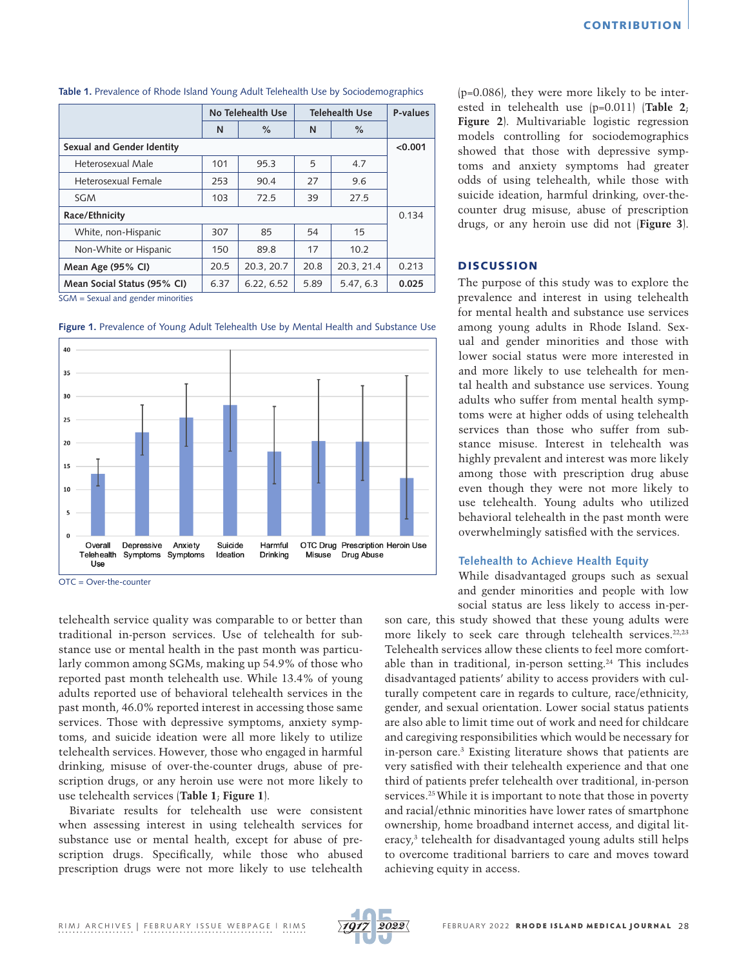|                             | No Telehealth Use |            | <b>Telehealth Use</b> |            | P-values |
|-----------------------------|-------------------|------------|-----------------------|------------|----------|
|                             | N                 | $\%$       | N                     | $\%$       |          |
| Sexual and Gender Identity  |                   |            |                       |            | < 0.001  |
| Heterosexual Male           | 101               | 95.3       | 5                     | 4.7        |          |
| Heterosexual Female         | 253               | 90.4       | 27                    | 9.6        |          |
| <b>SGM</b>                  | 103               | 72.5       | 39                    | 27.5       |          |
| Race/Ethnicity              |                   |            |                       |            | 0.134    |
| White, non-Hispanic         | 307               | 85         | 54                    | 15         |          |
| Non-White or Hispanic       | 150               | 89.8       | 17                    | 10.2       |          |
| Mean Age (95% CI)           | 20.5              | 20.3, 20.7 | 20.8                  | 20.3, 21.4 | 0.213    |
| Mean Social Status (95% CI) | 6.37              | 6.22, 6.52 | 5.89                  | 5.47, 6.3  | 0.025    |

**Table 1.** Prevalence of Rhode Island Young Adult Telehealth Use by Sociodemographics

SGM = Sexual and gender minorities





 $\overline{OTC} = \overline{O}$ ver-the-counter

telehealth service quality was comparable to or better than traditional in-person services. Use of telehealth for substance use or mental health in the past month was particularly common among SGMs, making up 54.9% of those who reported past month telehealth use. While 13.4% of young adults reported use of behavioral telehealth services in the past month, 46.0% reported interest in accessing those same services. Those with depressive symptoms, anxiety symptoms, and suicide ideation were all more likely to utilize telehealth services. However, those who engaged in harmful drinking, misuse of over-the-counter drugs, abuse of prescription drugs, or any heroin use were not more likely to use telehealth services (**Table 1**; **Figure 1**).

Bivariate results for telehealth use were consistent when assessing interest in using telehealth services for substance use or mental health, except for abuse of prescription drugs. Specifically, while those who abused prescription drugs were not more likely to use telehealth

(p=0.086), they were more likely to be interested in telehealth use (p=0.011) (**Table 2**; **Figure 2**). Multivariable logistic regression models controlling for sociodemographics showed that those with depressive symptoms and anxiety symptoms had greater odds of using telehealth, while those with suicide ideation, harmful drinking, over-thecounter drug misuse, abuse of prescription drugs, or any heroin use did not (**Figure 3**).

## **DISCUSSION**

The purpose of this study was to explore the prevalence and interest in using telehealth for mental health and substance use services among young adults in Rhode Island. Sexual and gender minorities and those with lower social status were more interested in and more likely to use telehealth for mental health and substance use services. Young adults who suffer from mental health symptoms were at higher odds of using telehealth services than those who suffer from substance misuse. Interest in telehealth was highly prevalent and interest was more likely among those with prescription drug abuse even though they were not more likely to use telehealth. Young adults who utilized behavioral telehealth in the past month were overwhelmingly satisfied with the services.

#### **Telehealth to Achieve Health Equity**

While disadvantaged groups such as sexual and gender minorities and people with low social status are less likely to access in-per-

son care, this study showed that these young adults were more likely to seek care through telehealth services.<sup>22,23</sup> Telehealth services allow these clients to feel more comfortable than in traditional, in-person setting.<sup>24</sup> This includes disadvantaged patients' ability to access providers with culturally competent care in regards to culture, race/ethnicity, gender, and sexual orientation. Lower social status patients are also able to limit time out of work and need for childcare and caregiving responsibilities which would be necessary for in-person care.3 Existing literature shows that patients are very satisfied with their telehealth experience and that one third of patients prefer telehealth over traditional, in-person services.<sup>25</sup> While it is important to note that those in poverty and racial/ethnic minorities have lower rates of smartphone ownership, home broadband internet access, and digital literacy,3 telehealth for disadvantaged young adults still helps to overcome traditional barriers to care and moves toward achieving equity in access.

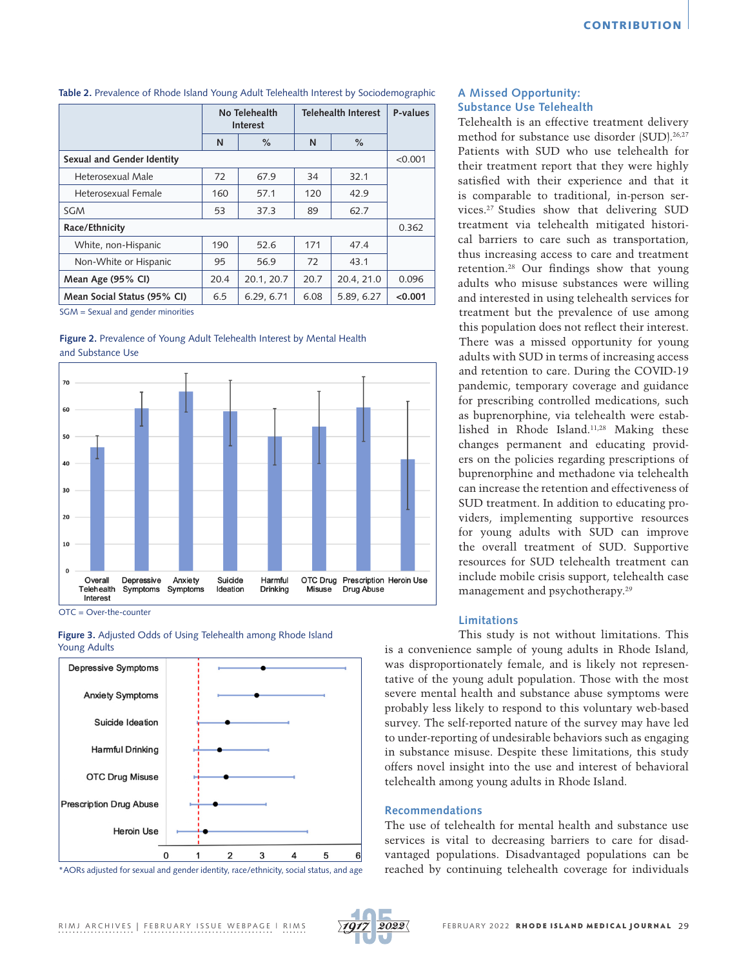| Table 2. Prevalence of Rhode Island Young Adult Telehealth Interest by Sociodemographic |  |
|-----------------------------------------------------------------------------------------|--|
|-----------------------------------------------------------------------------------------|--|

|                             | No Telehealth<br><b>Interest</b> |            | <b>Telehealth Interest</b> |            | P-values |  |
|-----------------------------|----------------------------------|------------|----------------------------|------------|----------|--|
|                             | N                                | $\%$       | N                          | $\%$       |          |  |
| Sexual and Gender Identity  |                                  |            |                            |            |          |  |
| Heterosexual Male           | 72                               | 67.9       | 34                         | 32.1       |          |  |
| Heterosexual Female         | 160                              | 57.1       | 120                        | 42.9       |          |  |
| <b>SGM</b>                  | 53                               | 37.3       | 89                         | 62.7       |          |  |
| Race/Ethnicity              |                                  |            |                            |            | 0.362    |  |
| White, non-Hispanic         | 190                              | 52.6       | 171                        | 47.4       |          |  |
| Non-White or Hispanic       | 95                               | 56.9       | 72                         | 43.1       |          |  |
| Mean Age (95% CI)           | 20.4                             | 20.1, 20.7 | 20.7                       | 20.4, 21.0 | 0.096    |  |
| Mean Social Status (95% CI) | 6.5                              | 6.29, 6.71 | 6.08                       | 5.89, 6.27 | < 0.001  |  |

SGM = Sexual and gender minorities

**Figure 2.** Prevalence of Young Adult Telehealth Interest by Mental Health and Substance Use



OTC = Over-the-counter





\*AORs adjusted for sexual and gender identity, race/ethnicity, social status, and age

## **A Missed Opportunity: Substance Use Telehealth**

Telehealth is an effective treatment delivery method for substance use disorder (SUD).<sup>26,27</sup> Patients with SUD who use telehealth for their treatment report that they were highly satisfied with their experience and that it is comparable to traditional, in-person services.27 Studies show that delivering SUD treatment via telehealth mitigated historical barriers to care such as transportation, thus increasing access to care and treatment retention.28 Our findings show that young adults who misuse substances were willing and interested in using telehealth services for treatment but the prevalence of use among this population does not reflect their interest. There was a missed opportunity for young adults with SUD in terms of increasing access and retention to care. During the COVID-19 pandemic, temporary coverage and guidance for prescribing controlled medications, such as buprenorphine, via telehealth were established in Rhode Island.11,28 Making these changes permanent and educating providers on the policies regarding prescriptions of buprenorphine and methadone via telehealth can increase the retention and effectiveness of SUD treatment. In addition to educating providers, implementing supportive resources for young adults with SUD can improve the overall treatment of SUD. Supportive resources for SUD telehealth treatment can include mobile crisis support, telehealth case management and psychotherapy.29

#### **Limitations**

This study is not without limitations. This is a convenience sample of young adults in Rhode Island, was disproportionately female, and is likely not representative of the young adult population. Those with the most severe mental health and substance abuse symptoms were probably less likely to respond to this voluntary web-based survey. The self-reported nature of the survey may have led to under-reporting of undesirable behaviors such as engaging in substance misuse. Despite these limitations, this study offers novel insight into the use and interest of behavioral telehealth among young adults in Rhode Island.

## **Recommendations**

The use of telehealth for mental health and substance use services is vital to decreasing barriers to care for disadvantaged populations. Disadvantaged populations can be reached by continuing telehealth coverage for individuals

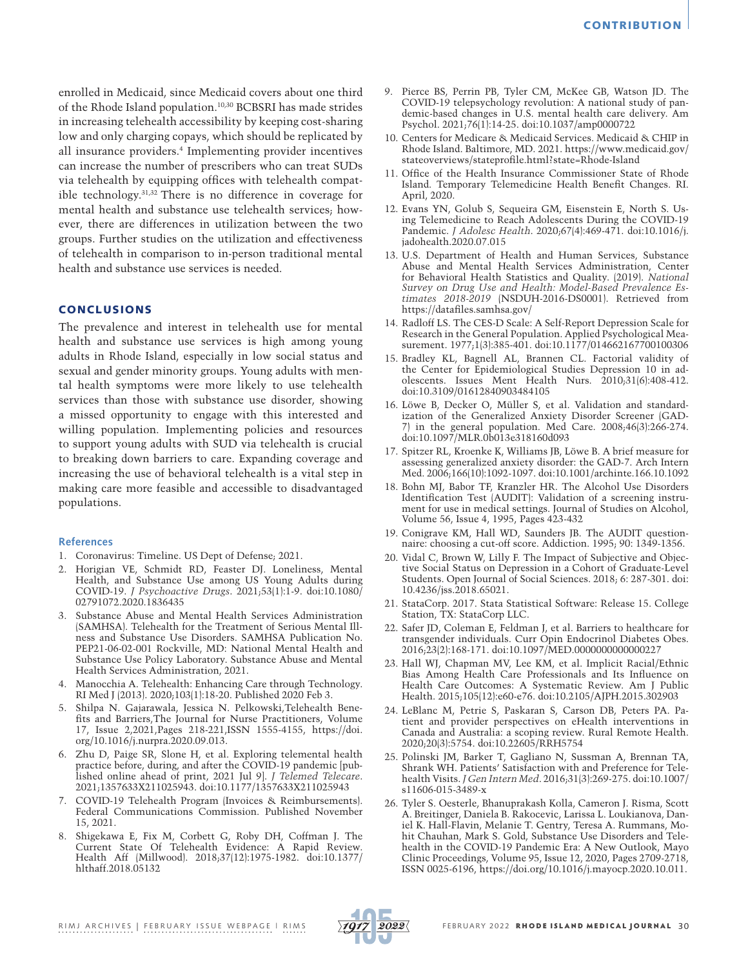enrolled in Medicaid, since Medicaid covers about one third of the Rhode Island population.10,30 BCBSRI has made strides in increasing telehealth accessibility by keeping cost-sharing low and only charging copays, which should be replicated by all insurance providers.4 Implementing provider incentives can increase the number of prescribers who can treat SUDs via telehealth by equipping offices with telehealth compatible technology.31,32 There is no difference in coverage for mental health and substance use telehealth services; however, there are differences in utilization between the two groups. Further studies on the utilization and effectiveness of telehealth in comparison to in-person traditional mental health and substance use services is needed.

# **CONCLUSIONS**

The prevalence and interest in telehealth use for mental health and substance use services is high among young adults in Rhode Island, especially in low social status and sexual and gender minority groups. Young adults with mental health symptoms were more likely to use telehealth services than those with substance use disorder, showing a missed opportunity to engage with this interested and willing population. Implementing policies and resources to support young adults with SUD via telehealth is crucial to breaking down barriers to care. Expanding coverage and increasing the use of behavioral telehealth is a vital step in making care more feasible and accessible to disadvantaged populations.

## **References**

- 1. Coronavirus: Timeline. US Dept of Defense; 2021.
- 2. Horigian VE, Schmidt RD, Feaster DJ. Loneliness, Mental Health, and Substance Use among US Young Adults during COVID-19. *J Psychoactive Drugs*. 2021;53(1):1-9. doi:10.1080/ 02791072.2020.1836435
- 3. Substance Abuse and Mental Health Services Administration (SAMHSA). Telehealth for the Treatment of Serious Mental Illness and Substance Use Disorders. SAMHSA Publication No. PEP21-06-02-001 Rockville, MD: National Mental Health and Substance Use Policy Laboratory. Substance Abuse and Mental Health Services Administration, 2021.
- 4. Manocchia A. Telehealth: Enhancing Care through Technology. RI Med J (2013). 2020;103(1):18-20. Published 2020 Feb 3.
- 5. Shilpa N. Gajarawala, Jessica N. Pelkowski,Telehealth Benefits and Barriers,The Journal for Nurse Practitioners, Volume 17, Issue 2,2021,Pages 218-221,ISSN 1555-4155, [https://doi.](https://doi.org/10.1016/j.nurpra.2020.09.013) [org/10.1016/j.nurpra.2020.09.013](https://doi.org/10.1016/j.nurpra.2020.09.013).
- 6. Zhu D, Paige SR, Slone H, et al. Exploring telemental health practice before, during, and after the COVID-19 pandemic [published online ahead of print, 2021 Jul 9]. *J Telemed Telecare*. 2021;1357633X211025943. doi:10.1177/1357633X211025943
- 7. COVID-19 Telehealth Program (Invoices & Reimbursements). Federal Communications Commission. Published November 15, 2021.
- 8. Shigekawa E, Fix M, Corbett G, Roby DH, Coffman J. The Current State Of Telehealth Evidence: A Rapid Review. Health Aff (Millwood). 2018;37(12):1975-1982. doi:10.1377/ hlthaff.2018.05132
- 9. Pierce BS, Perrin PB, Tyler CM, McKee GB, Watson JD. The COVID-19 telepsychology revolution: A national study of pandemic-based changes in U.S. mental health care delivery. Am Psychol. 2021;76(1):14-25. doi:10.1037/amp0000722
- 10. Centers for Medicare & Medicaid Services. Medicaid & CHIP in Rhode Island. Baltimore, MD. 2021. https://www.medicaid.gov/ stateoverviews/stateprofile.html?state=Rhode-Island
- 11. Office of the Health Insurance Commissioner State of Rhode Island. Temporary Telemedicine Health Benefit Changes. RI. April, 2020.
- 12. Evans YN, Golub S, Sequeira GM, Eisenstein E, North S. Using Telemedicine to Reach Adolescents During the COVID-19 Pandemic. *J Adolesc Health*. 2020;67(4):469-471. doi:10.1016/j. jadohealth.2020.07.015
- 13. U.S. Department of Health and Human Services, Substance Abuse and Mental Health Services Administration, Center for Behavioral Health Statistics and Quality. (2019). *National Survey on Drug Use and Health: Model-Based Prevalence Estimates 2018-2019* (NSDUH-2016-DS0001). Retrieved from <https://datafiles.samhsa.gov/>
- 14. Radloff LS. The CES-D Scale: A Self-Report Depression Scale for Research in the General Population. Applied Psychological Measurement. 1977;1(3):385-401. doi:10.1177/014662167700100306
- 15. Bradley KL, Bagnell AL, Brannen CL. Factorial validity of the Center for Epidemiological Studies Depression 10 in adolescents. Issues Ment Health Nurs. 2010;31(6):408-412. doi:10.3109/01612840903484105
- 16. Löwe B, Decker O, Müller S, et al. Validation and standardization of the Generalized Anxiety Disorder Screener (GAD-7) in the general population. Med Care. 2008;46(3):266-274. doi:10.1097/MLR.0b013e318160d093
- 17. Spitzer RL, Kroenke K, Williams JB, Löwe B. A brief measure for assessing generalized anxiety disorder: the GAD-7. Arch Intern Med. 2006;166(10):1092-1097. doi:10.1001/archinte.166.10.1092
- 18. Bohn MJ, Babor TF, Kranzler HR. The Alcohol Use Disorders Identification Test (AUDIT): Validation of a screening instrument for use in medical settings. Journal of Studies on Alcohol, Volume 56, Issue 4, 1995, Pages 423-432
- 19. Conigrave KM, Hall WD, Saunders JB. The AUDIT questionnaire: choosing a cut-off score. Addiction. 1995; 90: 1349-1356.
- 20. Vidal C, Brown W, Lilly F. The Impact of Subjective and Objective Social Status on Depression in a Cohort of Graduate-Level Students. Open Journal of Social Sciences. 2018; 6: 287-301. doi: 10.4236/jss.2018.65021.
- 21. StataCorp. 2017. Stata Statistical Software: Release 15. College Station, TX: StataCorp LLC.
- 22. Safer JD, Coleman E, Feldman J, et al. Barriers to healthcare for transgender individuals. Curr Opin Endocrinol Diabetes Obes. 2016;23(2):168-171. doi:10.1097/MED.0000000000000227
- 23. Hall WJ, Chapman MV, Lee KM, et al. Implicit Racial/Ethnic Bias Among Health Care Professionals and Its Influence on Health Care Outcomes: A Systematic Review. Am J Public Health. 2015;105(12):e60-e76. doi:10.2105/AJPH.2015.302903
- 24. LeBlanc M, Petrie S, Paskaran S, Carson DB, Peters PA. Patient and provider perspectives on eHealth interventions in Canada and Australia: a scoping review. Rural Remote Health. 2020;20(3):5754. doi:10.22605/RRH5754
- 25. Polinski JM, Barker T, Gagliano N, Sussman A, Brennan TA, Shrank WH. Patients' Satisfaction with and Preference for Telehealth Visits. *J Gen Intern Med*. 2016;31(3):269-275. doi:10.1007/ s11606-015-3489-x
- 26. Tyler S. Oesterle, Bhanuprakash Kolla, Cameron J. Risma, Scott A. Breitinger, Daniela B. Rakocevic, Larissa L. Loukianova, Daniel K. Hall-Flavin, Melanie T. Gentry, Teresa A. Rummans, Mohit Chauhan, Mark S. Gold, Substance Use Disorders and Telehealth in the COVID-19 Pandemic Era: A New Outlook, Mayo Clinic Proceedings, Volume 95, Issue 12, 2020, Pages 2709-2718, ISSN 0025-6196, [https://doi.org/10.1016/j.mayocp.2020.10.011.](https://doi.org/10.1016/j.mayocp.2020.10.011)